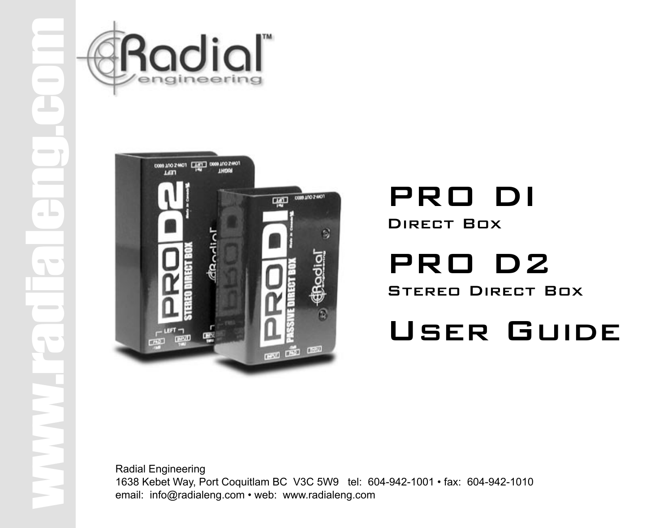



## PRO DI Direct Box

PRO D2 Stereo Direct Box

# User Guide

Radial Engineering 1638 Kebet Way, Port Coquitlam BC V3C 5W9 tel: 604-942-1001 • fax: 604-942-1010 email: info@radialeng.com • web: www.radialeng.com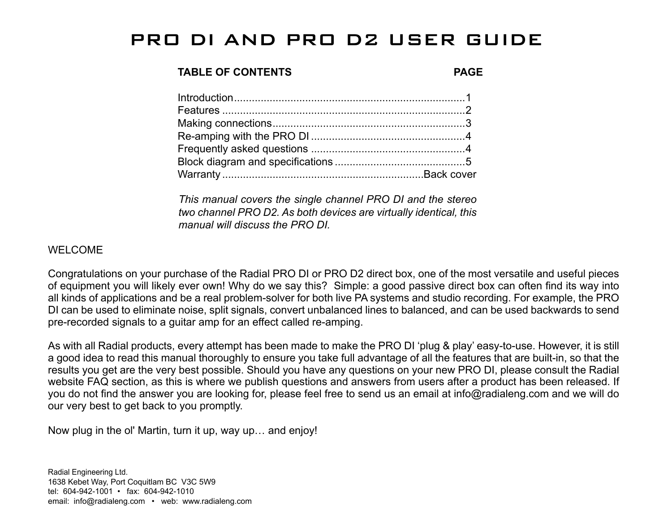### PRO DI AND PRO D2 USER GUIDE

#### **TABLE OF CONTENTS PAGE**

*This manual covers the single channel PRO DI and the stereo two channel PRO D2. As both devices are virtually identical, this manual will discuss the PRO DI.* 

#### WELCOME

Congratulations on your purchase of the Radial PRO DI or PRO D2 direct box, one of the most versatile and useful pieces of equipment you will likely ever own! Why do we say this? Simple: a good passive direct box can often find its way into all kinds of applications and be a real problem-solver for both live PA systems and studio recording. For example, the PRO DI can be used to eliminate noise, split signals, convert unbalanced lines to balanced, and can be used backwards to send pre-recorded signals to a guitar amp for an effect called re-amping.

As with all Radial products, every attempt has been made to make the PRO DI 'plug & play' easy-to-use. However, it is still a good idea to read this manual thoroughly to ensure you take full advantage of all the features that are built-in, so that the results you get are the very best possible. Should you have any questions on your new PRO DI, please consult the Radial website FAQ section, as this is where we publish questions and answers from users after a product has been released. If you do not find the answer you are looking for, please feel free to send us an email at info@radialeng.com and we will do our very best to get back to you promptly.

Now plug in the ol' Martin, turn it up, way up… and enjoy!

Radial Engineering Ltd. 1638 Kebet Way, Port Coquitlam BC V3C 5W9 tel: 604-942-1001 • fax: 604-942-1010 email: info@radialeng.com • web: www.radialeng.com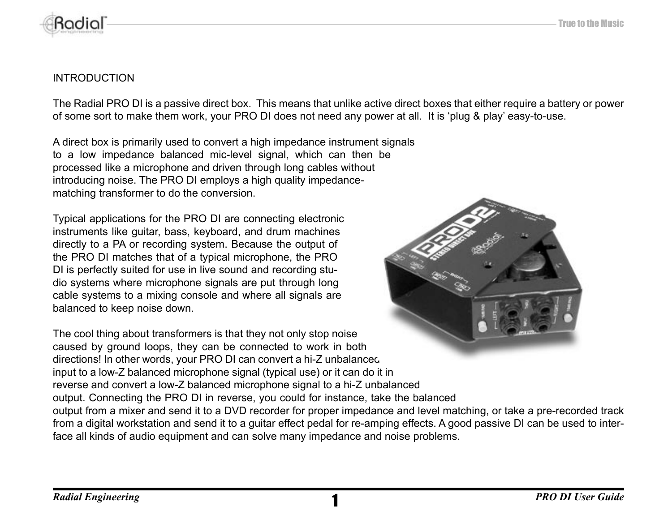

#### INTRODUCTION

The Radial PRO DI is a passive direct box. This means that unlike active direct boxes that either require a battery or power of some sort to make them work, your PRO DI does not need any power at all. It is 'plug & play' easy-to-use.

A direct box is primarily used to convert a high impedance instrument signals to a low impedance balanced mic-level signal, which can then be processed like a microphone and driven through long cables without introducing noise. The PRO DI employs a high quality impedancematching transformer to do the conversion.

Typical applications for the PRO DI are connecting electronic instruments like guitar, bass, keyboard, and drum machines directly to a PA or recording system. Because the output of the PRO DI matches that of a typical microphone, the PRO DI is perfectly suited for use in live sound and recording studio systems where microphone signals are put through long cable systems to a mixing console and where all signals are balanced to keep noise down.



The cool thing about transformers is that they not only stop noise caused by ground loops, they can be connected to work in both directions! In other words, your PRO DI can convert a hi-Z unbalanced input to a low-Z balanced microphone signal (typical use) or it can do it in reverse and convert a low-Z balanced microphone signal to a hi-Z unbalanced output. Connecting the PRO DI in reverse, you could for instance, take the balanced output from a mixer and send it to a DVD recorder for proper impedance and level matching, or take a pre-recorded track from a digital workstation and send it to a guitar effect pedal for re-amping effects. A good passive DI can be used to interface all kinds of audio equipment and can solve many impedance and noise problems.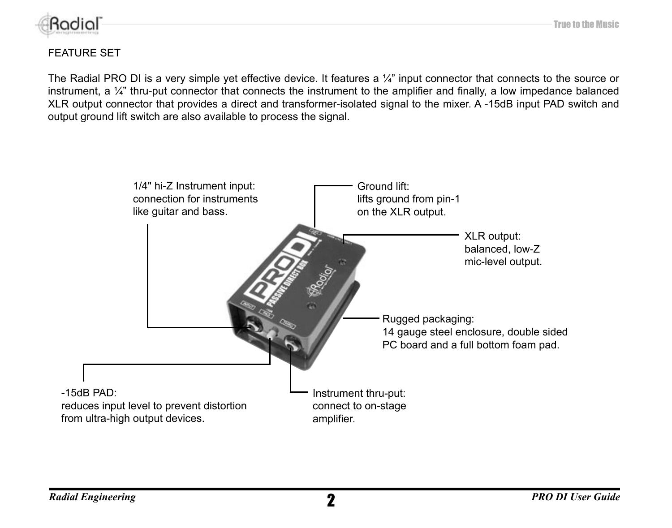

#### FEATURE SET

The Radial PRO DI is a very simple yet effective device. It features a ¼" input connector that connects to the source or instrument, a  $\frac{1}{4}$ " thru-put connector that connects the instrument to the amplifier and finally, a low impedance balanced XLR output connector that provides a direct and transformer-isolated signal to the mixer. A -15dB input PAD switch and output ground lift switch are also available to process the signal.

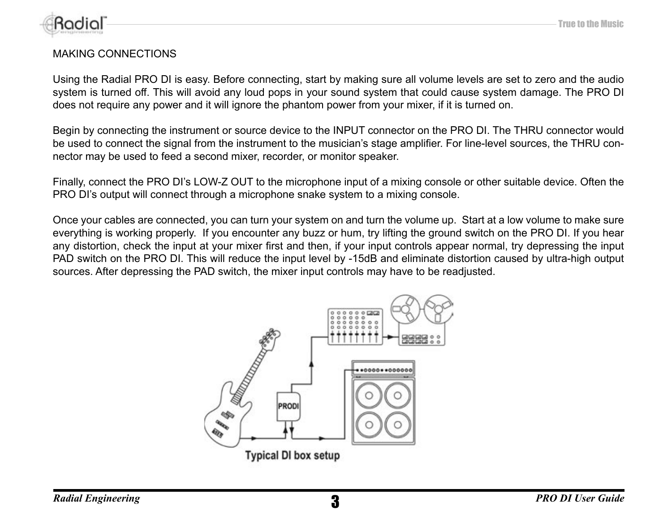

#### MAKING CONNECTIONS

Using the Radial PRO DI is easy. Before connecting, start by making sure all volume levels are set to zero and the audio system is turned off. This will avoid any loud pops in your sound system that could cause system damage. The PRO DI does not require any power and it will ignore the phantom power from your mixer, if it is turned on.

Begin by connecting the instrument or source device to the INPUT connector on the PRO DI. The THRU connector would be used to connect the signal from the instrument to the musician's stage amplifier. For line-level sources, the THRU connector may be used to feed a second mixer, recorder, or monitor speaker.

Finally, connect the PRO DI's LOW-Z OUT to the microphone input of a mixing console or other suitable device. Often the PRO DI's output will connect through a microphone snake system to a mixing console.

Once your cables are connected, you can turn your system on and turn the volume up. Start at a low volume to make sure everything is working properly. If you encounter any buzz or hum, try lifting the ground switch on the PRO DI. If you hear any distortion, check the input at your mixer first and then, if your input controls appear normal, try depressing the input PAD switch on the PRO DI. This will reduce the input level by -15dB and eliminate distortion caused by ultra-high output sources. After depressing the PAD switch, the mixer input controls may have to be readjusted.

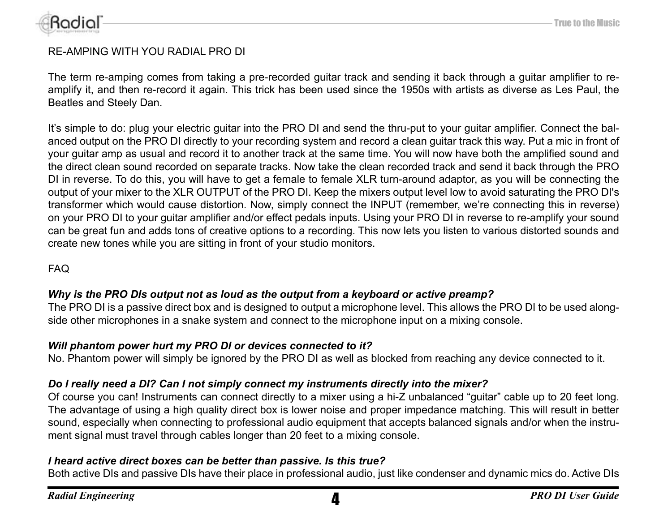

#### RE-AMPING WITH YOU RADIAL PRO DI

The term re-amping comes from taking a pre-recorded guitar track and sending it back through a guitar amplifier to reamplify it, and then re-record it again. This trick has been used since the 1950s with artists as diverse as Les Paul, the Beatles and Steely Dan.

It's simple to do: plug your electric guitar into the PRO DI and send the thru-put to your guitar amplifier. Connect the balanced output on the PRO DI directly to your recording system and record a clean guitar track this way. Put a mic in front of your guitar amp as usual and record it to another track at the same time. You will now have both the amplified sound and the direct clean sound recorded on separate tracks. Now take the clean recorded track and send it back through the PRO DI in reverse. To do this, you will have to get a female to female XLR turn-around adaptor, as you will be connecting the output of your mixer to the XLR OUTPUT of the PRO DI. Keep the mixers output level low to avoid saturating the PRO DI's transformer which would cause distortion. Now, simply connect the INPUT (remember, we're connecting this in reverse) on your PRO DI to your guitar amplifier and/or effect pedals inputs. Using your PRO DI in reverse to re-amplify your sound can be great fun and adds tons of creative options to a recording. This now lets you listen to various distorted sounds and create new tones while you are sitting in front of your studio monitors.

FAQ

#### *Why is the PRO DIs output not as loud as the output from a keyboard or active preamp?*

The PRO DI is a passive direct box and is designed to output a microphone level. This allows the PRO DI to be used alongside other microphones in a snake system and connect to the microphone input on a mixing console.

#### *Will phantom power hurt my PRO DI or devices connected to it?*

No. Phantom power will simply be ignored by the PRO DI as well as blocked from reaching any device connected to it.

#### *Do I really need a DI? Can I not simply connect my instruments directly into the mixer?*

Of course you can! Instruments can connect directly to a mixer using a hi-Z unbalanced "guitar" cable up to 20 feet long. The advantage of using a high quality direct box is lower noise and proper impedance matching. This will result in better sound, especially when connecting to professional audio equipment that accepts balanced signals and/or when the instrument signal must travel through cables longer than 20 feet to a mixing console.

#### *I heard active direct boxes can be better than passive. Is this true?*

Both active DIs and passive DIs have their place in professional audio, just like condenser and dynamic mics do. Active DIs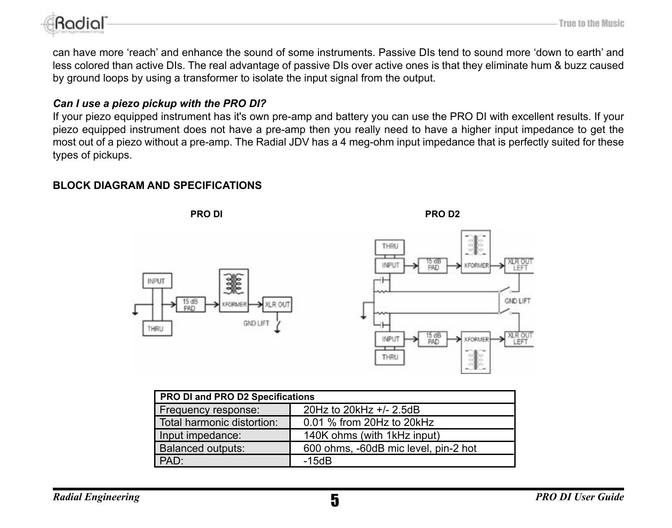

can have more 'reach' and enhance the sound of some instruments. Passive DIs tend to sound more 'down to earth' and less colored than active DIs. The real advantage of passive DIs over active ones is that they eliminate hum & buzz caused by ground loops by using a transformer to isolate the input signal from the output.

#### *Can I use a piezo pickup with the PRO DI?*

If your piezo equipped instrument has it's own pre-amp and battery you can use the PRO DI with excellent results. If your piezo equipped instrument does not have a pre-amp then you really need to have a higher input impedance to get the most out of a piezo without a pre-amp. The Radial JDV has a 4 meg-ohm input impedance that is perfectly suited for these types of pickups.

#### **BLOCK DIAGRAM AND SPECIFICATIONS**



| PRO DI and PRO D2 Specifications |                                      |  |
|----------------------------------|--------------------------------------|--|
| Frequency response:              | 20Hz to 20kHz +/- 2.5dB              |  |
| Total harmonic distortion:       | 0.01 % from 20Hz to 20kHz            |  |
| Input impedance:                 | 140K ohms (with 1kHz input)          |  |
| <b>Balanced outputs:</b>         | 600 ohms, -60dB mic level, pin-2 hot |  |
| PAD                              | $-15dB$                              |  |